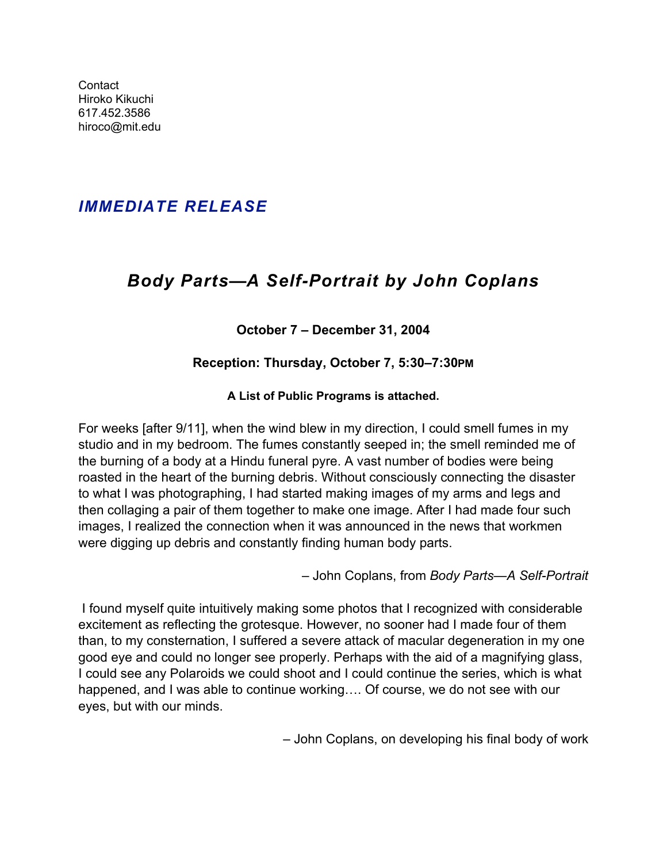**Contact** Hiroko Kikuchi [617.452.3586](tel:6174523586) [hiroco@mit.edu](mailto:hiroco@mit.edu)

## *IMMEDIATE RELEASE*

# *Body Parts***—***A Self-Portrait by John Coplans*

## **October 7 – December 31, 2004**

## **Reception: Thursday, October 7, 5:30–7:30PM**

## **A List of Public Programs is attached.**

For weeks [after 9/11], when the wind blew in my direction, I could smell fumes in my studio and in my bedroom. The fumes constantly seeped in; the smell reminded me of the burning of a body at a Hindu funeral pyre. A vast number of bodies were being roasted in the heart of the burning debris. Without consciously connecting the disaster to what I was photographing, I had started making images of my arms and legs and then collaging a pair of them together to make one image. After I had made four such images, I realized the connection when it was announced in the news that workmen were digging up debris and constantly finding human body parts.

– John Coplans, from *Body Parts—A Self-Portrait*

 I found myself quite intuitively making some photos that I recognized with considerable excitement as reflecting the grotesque. However, no sooner had I made four of them than, to my consternation, I suffered a severe attack of macular degeneration in my one good eye and could no longer see properly. Perhaps with the aid of a magnifying glass, I could see any Polaroids we could shoot and I could continue the series, which is what happened, and I was able to continue working…. Of course, we do not see with our eyes, but with our minds.

– John Coplans, on developing his final body of work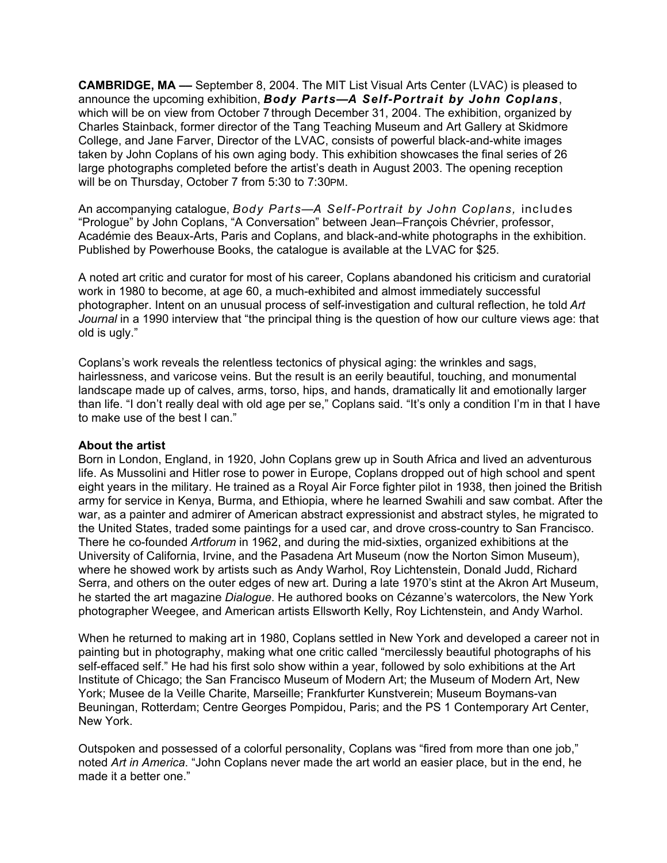**CAMBRIDGE, MA ––** September 8, 2004. The MIT List Visual Arts Center (LVAC) is pleased to announce the upcoming exhibition, *Body Parts—A Self-Portrait by John Coplans*, which will be on view from October 7 through December 31, 2004. The exhibition, organized by Charles Stainback, former director of the Tang Teaching Museum and Art Gallery at Skidmore College, and Jane Farver, Director of the LVAC, consists of powerful black-and-white images taken by John Coplans of his own aging body. This exhibition showcases the final series of 26 large photographs completed before the artist's death in August 2003. The opening reception will be on Thursday, October 7 from 5:30 to 7:30PM.

An accompanying catalogue, *Body Parts—A Self-Portrait by John Coplans,* includes "Prologue" by John Coplans, "A Conversation" between Jean–François Chévrier, professor, Académie des Beaux-Arts, Paris and Coplans, and black-and-white photographs in the exhibition. Published by Powerhouse Books, the catalogue is available at the LVAC for \$25.

A noted art critic and curator for most of his career, Coplans abandoned his criticism and curatorial work in 1980 to become, at age 60, a much-exhibited and almost immediately successful photographer. Intent on an unusual process of self-investigation and cultural reflection, he told *Art Journal* in a 1990 interview that "the principal thing is the question of how our culture views age: that old is ugly."

Coplans's work reveals the relentless tectonics of physical aging: the wrinkles and sags, hairlessness, and varicose veins. But the result is an eerily beautiful, touching, and monumental landscape made up of calves, arms, torso, hips, and hands, dramatically lit and emotionally larger than life. "I don't really deal with old age per se," Coplans said. "It's only a condition I'm in that I have to make use of the best I can."

#### **About the artist**

Born in London, England, in 1920, John Coplans grew up in South Africa and lived an adventurous life. As Mussolini and Hitler rose to power in Europe, Coplans dropped out of high school and spent eight years in the military. He trained as a Royal Air Force fighter pilot in 1938, then joined the British army for service in Kenya, Burma, and Ethiopia, where he learned Swahili and saw combat. After the war, as a painter and admirer of American abstract expressionist and abstract styles, he migrated to the United States, traded some paintings for a used car, and drove cross-country to San Francisco. There he co-founded *Artforum* in 1962, and during the mid-sixties, organized exhibitions at the University of California, Irvine, and the Pasadena Art Museum (now the Norton Simon Museum), where he showed work by artists such as Andy Warhol, Roy Lichtenstein, Donald Judd, Richard Serra, and others on the outer edges of new art. During a late 1970's stint at the Akron Art Museum, he started the art magazine *Dialogue*. He authored books on Cézanne's watercolors, the New York photographer Weegee, and American artists Ellsworth Kelly, Roy Lichtenstein, and Andy Warhol.

When he returned to making art in 1980, Coplans settled in New York and developed a career not in painting but in photography, making what one critic called "mercilessly beautiful photographs of his self-effaced self." He had his first solo show within a year, followed by solo exhibitions at the Art Institute of Chicago; the San Francisco Museum of Modern Art; the Museum of Modern Art, New York; Musee de la Veille Charite, Marseille; Frankfurter Kunstverein; Museum Boymans-van Beuningan, Rotterdam; Centre Georges Pompidou, Paris; and the PS 1 Contemporary Art Center, New York.

Outspoken and possessed of a colorful personality, Coplans was "fired from more than one job," noted *Art in America*. "John Coplans never made the art world an easier place, but in the end, he made it a better one."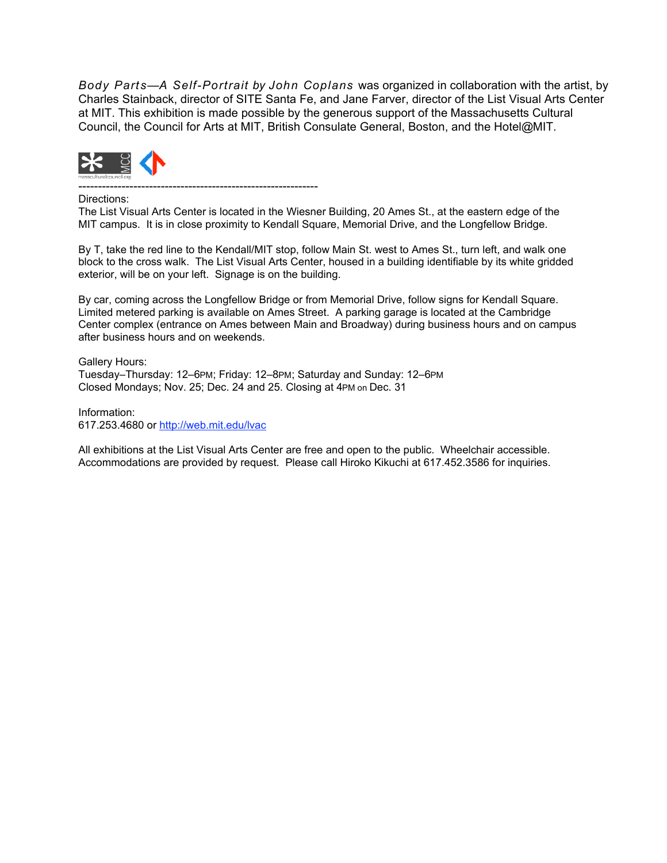*Body Parts—A Self-Portrait by John Coplans* was organized in collaboration with the artist, by Charles Stainback, director of SITE Santa Fe, and Jane Farver, director of the List Visual Arts Center at MIT. This exhibition is made possible by the generous support of the Massachusetts Cultural Council, the Council for Arts at MIT, British Consulate General, Boston, and the Hotel@MIT.



-------------------------------------------------------------

Directions:

The List Visual Arts Center is located in the Wiesner Building, 20 Ames St., at the eastern edge of the MIT campus. It is in close proximity to Kendall Square, Memorial Drive, and the Longfellow Bridge.

By T, take the red line to the Kendall/MIT stop, follow Main St. west to Ames St., turn left, and walk one block to the cross walk. The List Visual Arts Center, housed in a building identifiable by its white gridded exterior, will be on your left. Signage is on the building.

By car, coming across the Longfellow Bridge or from Memorial Drive, follow signs for Kendall Square. Limited metered parking is available on Ames Street. A parking garage is located at the Cambridge Center complex (entrance on Ames between Main and Broadway) during business hours and on campus after business hours and on weekends.

Gallery Hours: Tuesday–Thursday: 12–6PM; Friday: 12–8PM; Saturday and Sunday: 12–6PM Closed Mondays; Nov. 25; Dec. 24 and 25. Closing at 4PM on Dec. 31

Information: [617.253.4680](tel:6172534680) or<http://web.mit.edu/lvac>

All exhibitions at the List Visual Arts Center are free and open to the public. Wheelchair accessible. Accommodations are provided by request. Please call Hiroko Kikuchi at [617.452.3586](tel:6174523586) for inquiries.